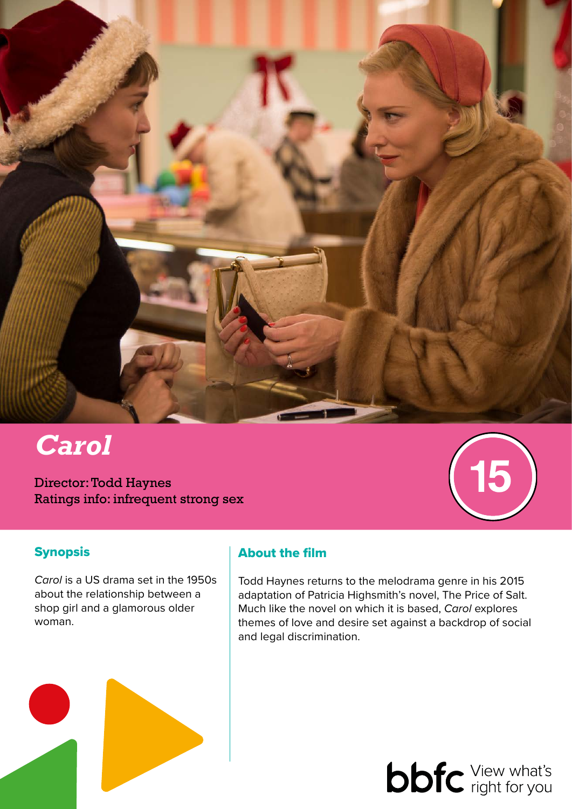

# *Carol*

Director: Todd Haynes Ratings info: infrequent strong sex

# 5

# **Synopsis**

*Carol* is a US drama set in the 1950s about the relationship between a shop girl and a glamorous older woman.

# About the film

Todd Haynes returns to the melodrama genre in his 2015 adaptation of Patricia Highsmith's novel, The Price of Salt. Much like the novel on which it is based, *Carol* explores themes of love and desire set against a backdrop of social and legal discrimination.

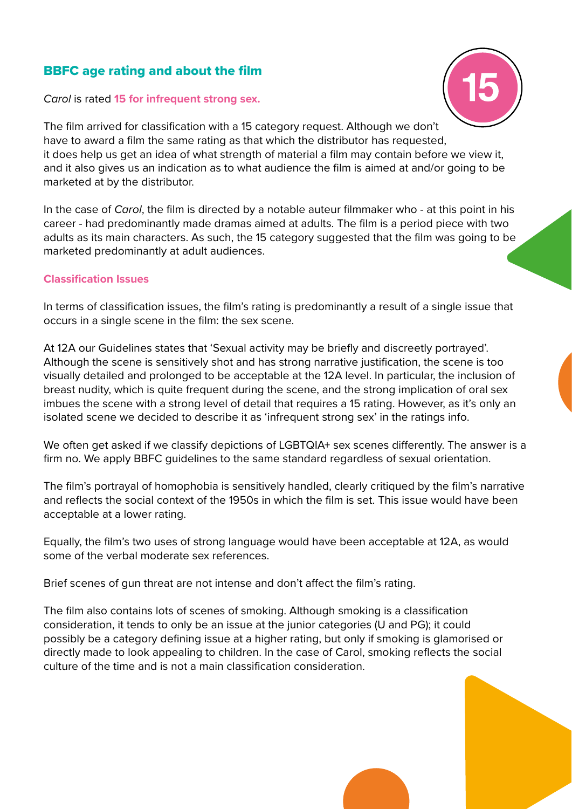# BBFC age rating and about the film

#### *Carol* is rated **15 for infrequent strong sex.**



The film arrived for classification with a 15 category request. Although we don't have to award a film the same rating as that which the distributor has requested, it does help us get an idea of what strength of material a film may contain before we view it, and it also gives us an indication as to what audience the film is aimed at and/or going to be marketed at by the distributor.

In the case of *Carol*, the film is directed by a notable auteur filmmaker who - at this point in his career - had predominantly made dramas aimed at adults. The film is a period piece with two adults as its main characters. As such, the 15 category suggested that the film was going to be marketed predominantly at adult audiences.

#### **Classification Issues**

In terms of classification issues, the film's rating is predominantly a result of a single issue that occurs in a single scene in the film: the sex scene.

At 12A our Guidelines states that 'Sexual activity may be briefly and discreetly portrayed'. Although the scene is sensitively shot and has strong narrative justification, the scene is too visually detailed and prolonged to be acceptable at the 12A level. In particular, the inclusion of breast nudity, which is quite frequent during the scene, and the strong implication of oral sex imbues the scene with a strong level of detail that requires a 15 rating. However, as it's only an isolated scene we decided to describe it as 'infrequent strong sex' in the ratings info.

We often get asked if we classify depictions of LGBTQIA+ sex scenes differently. The answer is a firm no. We apply BBFC guidelines to the same standard regardless of sexual orientation.

The film's portrayal of homophobia is sensitively handled, clearly critiqued by the film's narrative and reflects the social context of the 1950s in which the film is set. This issue would have been acceptable at a lower rating.

Equally, the film's two uses of strong language would have been acceptable at 12A, as would some of the verbal moderate sex references.

Brief scenes of gun threat are not intense and don't affect the film's rating.

The film also contains lots of scenes of smoking. Although smoking is a classification consideration, it tends to only be an issue at the junior categories (U and PG); it could possibly be a category defining issue at a higher rating, but only if smoking is glamorised or directly made to look appealing to children. In the case of Carol, smoking reflects the social culture of the time and is not a main classification consideration.